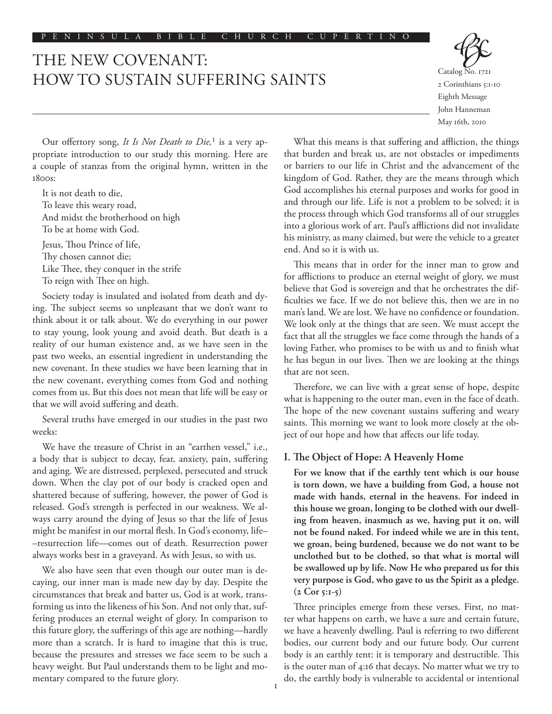## THE NEW COVENANT: HOW TO SUSTAIN SUFFERING SAINTS

2 Corinthians 5:1-10 Eighth Message John Hanneman May 16th, 2010

Our offertory song, *It Is Not Death to Die,*1 is a very appropriate introduction to our study this morning. Here are a couple of stanzas from the original hymn, written in the 1800s:

It is not death to die, To leave this weary road, And midst the brotherhood on high To be at home with God. Jesus, Thou Prince of Iife, Thy chosen cannot die;

Like Thee, they conquer in the strife

To reign with Thee on high.

Society today is insulated and isolated from death and dying. The subject seems so unpleasant that we don't want to think about it or talk about. We do everything in our power to stay young, look young and avoid death. But death is a reality of our human existence and, as we have seen in the past two weeks, an essential ingredient in understanding the new covenant. In these studies we have been learning that in the new covenant, everything comes from God and nothing comes from us. But this does not mean that life will be easy or that we will avoid suffering and death.

Several truths have emerged in our studies in the past two weeks:

We have the treasure of Christ in an "earthen vessel," i.e., a body that is subject to decay, fear, anxiety, pain, suffering and aging. We are distressed, perplexed, persecuted and struck down. When the clay pot of our body is cracked open and shattered because of suffering, however, the power of God is released. God's strength is perfected in our weakness. We always carry around the dying of Jesus so that the life of Jesus might be manifest in our mortal flesh. In God's economy, life– –resurrection life––comes out of death. Resurrection power always works best in a graveyard. As with Jesus, so with us.

We also have seen that even though our outer man is decaying, our inner man is made new day by day. Despite the circumstances that break and batter us, God is at work, transforming us into the likeness of his Son. And not only that, suffering produces an eternal weight of glory. In comparison to this future glory, the sufferings of this age are nothing––hardly more than a scratch. It is hard to imagine that this is true, because the pressures and stresses we face seem to be such a heavy weight. But Paul understands them to be light and momentary compared to the future glory.

What this means is that suffering and affliction, the things that burden and break us, are not obstacles or impediments or barriers to our life in Christ and the advancement of the kingdom of God. Rather, they are the means through which God accomplishes his eternal purposes and works for good in and through our life. Life is not a problem to be solved; it is the process through which God transforms all of our struggles into a glorious work of art. Paul's afflictions did not invalidate his ministry, as many claimed, but were the vehicle to a greater end. And so it is with us.

This means that in order for the inner man to grow and for afflictions to produce an eternal weight of glory, we must believe that God is sovereign and that he orchestrates the difficulties we face. If we do not believe this, then we are in no man's land. We are lost. We have no confidence or foundation. We look only at the things that are seen. We must accept the fact that all the struggles we face come through the hands of a loving Father, who promises to be with us and to finish what he has begun in our lives. Then we are looking at the things that are not seen.

Therefore, we can live with a great sense of hope, despite what is happening to the outer man, even in the face of death. The hope of the new covenant sustains suffering and weary saints. This morning we want to look more closely at the object of our hope and how that affects our life today.

## **I. The Object of Hope: A Heavenly Home**

**For we know that if the earthly tent which is our house is torn down, we have a building from God, a house not made with hands, eternal in the heavens. For indeed in this house we groan, longing to be clothed with our dwelling from heaven, inasmuch as we, having put it on, will not be found naked. For indeed while we are in this tent, we groan, being burdened, because we do not want to be unclothed but to be clothed, so that what is mortal will be swallowed up by life. Now He who prepared us for this very purpose is God, who gave to us the Spirit as a pledge. (2 Cor 5:1-5)**

Three principles emerge from these verses. First, no matter what happens on earth, we have a sure and certain future, we have a heavenly dwelling. Paul is referring to two different bodies, our current body and our future body. Our current body is an earthly tent: it is temporary and destructible. This is the outer man of 4:16 that decays. No matter what we try to do, the earthly body is vulnerable to accidental or intentional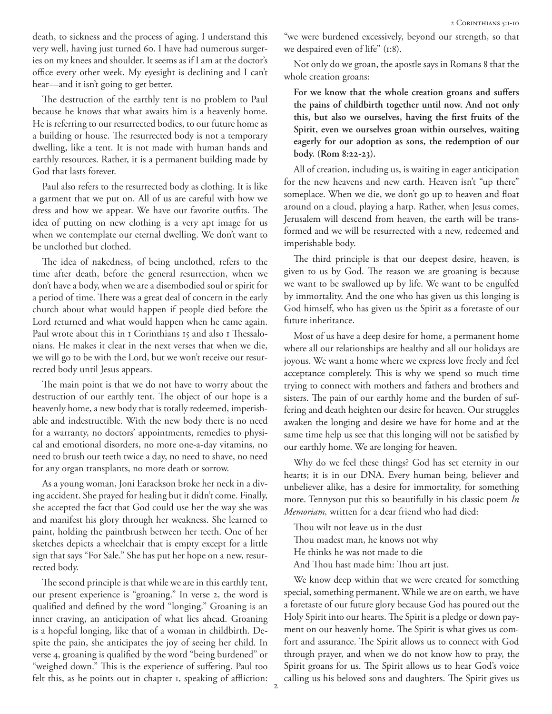death, to sickness and the process of aging. I understand this very well, having just turned 60. I have had numerous surgeries on my knees and shoulder. It seems as if I am at the doctor's office every other week. My eyesight is declining and I can't hear––and it isn't going to get better.

The destruction of the earthly tent is no problem to Paul because he knows that what awaits him is a heavenly home. He is referring to our resurrected bodies, to our future home as a building or house. The resurrected body is not a temporary dwelling, like a tent. It is not made with human hands and earthly resources. Rather, it is a permanent building made by God that lasts forever.

Paul also refers to the resurrected body as clothing. It is like a garment that we put on. All of us are careful with how we dress and how we appear. We have our favorite outfits. The idea of putting on new clothing is a very apt image for us when we contemplate our eternal dwelling. We don't want to be unclothed but clothed.

The idea of nakedness, of being unclothed, refers to the time after death, before the general resurrection, when we don't have a body, when we are a disembodied soul or spirit for a period of time. There was a great deal of concern in the early church about what would happen if people died before the Lord returned and what would happen when he came again. Paul wrote about this in 1 Corinthians 15 and also 1 Thessalonians. He makes it clear in the next verses that when we die, we will go to be with the Lord, but we won't receive our resurrected body until Jesus appears.

The main point is that we do not have to worry about the destruction of our earthly tent. The object of our hope is a heavenly home, a new body that is totally redeemed, imperishable and indestructible. With the new body there is no need for a warranty, no doctors' appointments, remedies to physical and emotional disorders, no more one-a-day vitamins, no need to brush our teeth twice a day, no need to shave, no need for any organ transplants, no more death or sorrow.

As a young woman, Joni Earackson broke her neck in a diving accident. She prayed for healing but it didn't come. Finally, she accepted the fact that God could use her the way she was and manifest his glory through her weakness. She learned to paint, holding the paintbrush between her teeth. One of her sketches depicts a wheelchair that is empty except for a little sign that says "For Sale." She has put her hope on a new, resurrected body.

The second principle is that while we are in this earthly tent, our present experience is "groaning." In verse 2, the word is qualified and defined by the word "longing." Groaning is an inner craving, an anticipation of what lies ahead. Groaning is a hopeful longing, like that of a woman in childbirth. Despite the pain, she anticipates the joy of seeing her child. In verse 4, groaning is qualified by the word "being burdened" or "weighed down." This is the experience of suffering. Paul too felt this, as he points out in chapter 1, speaking of affliction:

"we were burdened excessively, beyond our strength, so that we despaired even of life" (1:8).

Not only do we groan, the apostle says in Romans 8 that the whole creation groans:

**For we know that the whole creation groans and suffers the pains of childbirth together until now. And not only this, but also we ourselves, having the first fruits of the Spirit, even we ourselves groan within ourselves, waiting eagerly for our adoption as sons, the redemption of our body. (Rom 8:22-23).**

All of creation, including us, is waiting in eager anticipation for the new heavens and new earth. Heaven isn't "up there" someplace. When we die, we don't go up to heaven and float around on a cloud, playing a harp. Rather, when Jesus comes, Jerusalem will descend from heaven, the earth will be transformed and we will be resurrected with a new, redeemed and imperishable body.

The third principle is that our deepest desire, heaven, is given to us by God. The reason we are groaning is because we want to be swallowed up by life. We want to be engulfed by immortality. And the one who has given us this longing is God himself, who has given us the Spirit as a foretaste of our future inheritance.

Most of us have a deep desire for home, a permanent home where all our relationships are healthy and all our holidays are joyous. We want a home where we express love freely and feel acceptance completely. This is why we spend so much time trying to connect with mothers and fathers and brothers and sisters. The pain of our earthly home and the burden of suffering and death heighten our desire for heaven. Our struggles awaken the longing and desire we have for home and at the same time help us see that this longing will not be satisfied by our earthly home. We are longing for heaven.

Why do we feel these things? God has set eternity in our hearts; it is in our DNA. Every human being, believer and unbeliever alike, has a desire for immortality, for something more. Tennyson put this so beautifully in his classic poem *In Memoriam,* written for a dear friend who had died:

Thou wilt not leave us in the dust Thou madest man, he knows not why He thinks he was not made to die And Thou hast made him: Thou art just.

We know deep within that we were created for something special, something permanent. While we are on earth, we have a foretaste of our future glory because God has poured out the Holy Spirit into our hearts. The Spirit is a pledge or down payment on our heavenly home. The Spirit is what gives us comfort and assurance. The Spirit allows us to connect with God through prayer, and when we do not know how to pray, the Spirit groans for us. The Spirit allows us to hear God's voice calling us his beloved sons and daughters. The Spirit gives us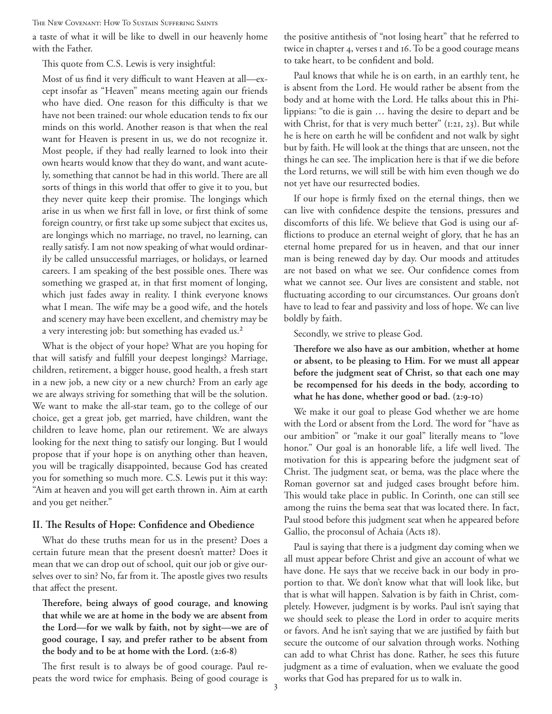The New Covenant: How To Sustain Suffering Saints

a taste of what it will be like to dwell in our heavenly home with the Father.

This quote from C.S. Lewis is very insightful:

Most of us find it very difficult to want Heaven at all––except insofar as "Heaven" means meeting again our friends who have died. One reason for this difficulty is that we have not been trained: our whole education tends to fix our minds on this world. Another reason is that when the real want for Heaven is present in us, we do not recognize it. Most people, if they had really learned to look into their own hearts would know that they do want, and want acutely, something that cannot be had in this world. There are all sorts of things in this world that offer to give it to you, but they never quite keep their promise. The longings which arise in us when we first fall in love, or first think of some foreign country, or first take up some subject that excites us, are longings which no marriage, no travel, no learning, can really satisfy. I am not now speaking of what would ordinarily be called unsuccessful marriages, or holidays, or learned careers. I am speaking of the best possible ones. There was something we grasped at, in that first moment of longing, which just fades away in reality. I think everyone knows what I mean. The wife may be a good wife, and the hotels and scenery may have been excellent, and chemistry may be a very interesting job: but something has evaded us.<sup>2</sup>

What is the object of your hope? What are you hoping for that will satisfy and fulfill your deepest longings? Marriage, children, retirement, a bigger house, good health, a fresh start in a new job, a new city or a new church? From an early age we are always striving for something that will be the solution. We want to make the all-star team, go to the college of our choice, get a great job, get married, have children, want the children to leave home, plan our retirement. We are always looking for the next thing to satisfy our longing. But I would propose that if your hope is on anything other than heaven, you will be tragically disappointed, because God has created you for something so much more. C.S. Lewis put it this way: "Aim at heaven and you will get earth thrown in. Aim at earth and you get neither."

## **II. The Results of Hope: Confidence and Obedience**

What do these truths mean for us in the present? Does a certain future mean that the present doesn't matter? Does it mean that we can drop out of school, quit our job or give ourselves over to sin? No, far from it. The apostle gives two results that affect the present.

**Therefore, being always of good courage, and knowing that while we are at home in the body we are absent from the Lord—for we walk by faith, not by sight—we are of good courage, I say, and prefer rather to be absent from the body and to be at home with the Lord. (2:6-8)**

The first result is to always be of good courage. Paul repeats the word twice for emphasis. Being of good courage is the positive antithesis of "not losing heart" that he referred to twice in chapter 4, verses 1 and 16. To be a good courage means to take heart, to be confident and bold.

Paul knows that while he is on earth, in an earthly tent, he is absent from the Lord. He would rather be absent from the body and at home with the Lord. He talks about this in Philippians: "to die is gain … having the desire to depart and be with Christ, for that is very much better" (1:21, 23). But while he is here on earth he will be confident and not walk by sight but by faith. He will look at the things that are unseen, not the things he can see. The implication here is that if we die before the Lord returns, we will still be with him even though we do not yet have our resurrected bodies.

If our hope is firmly fixed on the eternal things, then we can live with confidence despite the tensions, pressures and discomforts of this life. We believe that God is using our afflictions to produce an eternal weight of glory, that he has an eternal home prepared for us in heaven, and that our inner man is being renewed day by day. Our moods and attitudes are not based on what we see. Our confidence comes from what we cannot see. Our lives are consistent and stable, not fluctuating according to our circumstances. Our groans don't have to lead to fear and passivity and loss of hope. We can live boldly by faith.

Secondly, we strive to please God.

**Therefore we also have as our ambition, whether at home or absent, to be pleasing to Him. For we must all appear before the judgment seat of Christ, so that each one may be recompensed for his deeds in the body, according to what he has done, whether good or bad. (2:9-10)**

We make it our goal to please God whether we are home with the Lord or absent from the Lord. The word for "have as our ambition" or "make it our goal" literally means to "love honor." Our goal is an honorable life, a life well lived. The motivation for this is appearing before the judgment seat of Christ. The judgment seat, or bema, was the place where the Roman governor sat and judged cases brought before him. This would take place in public. In Corinth, one can still see among the ruins the bema seat that was located there. In fact, Paul stood before this judgment seat when he appeared before Gallio, the proconsul of Achaia (Acts 18).

Paul is saying that there is a judgment day coming when we all must appear before Christ and give an account of what we have done. He says that we receive back in our body in proportion to that. We don't know what that will look like, but that is what will happen. Salvation is by faith in Christ, completely. However, judgment is by works. Paul isn't saying that we should seek to please the Lord in order to acquire merits or favors. And he isn't saying that we are justified by faith but secure the outcome of our salvation through works. Nothing can add to what Christ has done. Rather, he sees this future judgment as a time of evaluation, when we evaluate the good works that God has prepared for us to walk in.